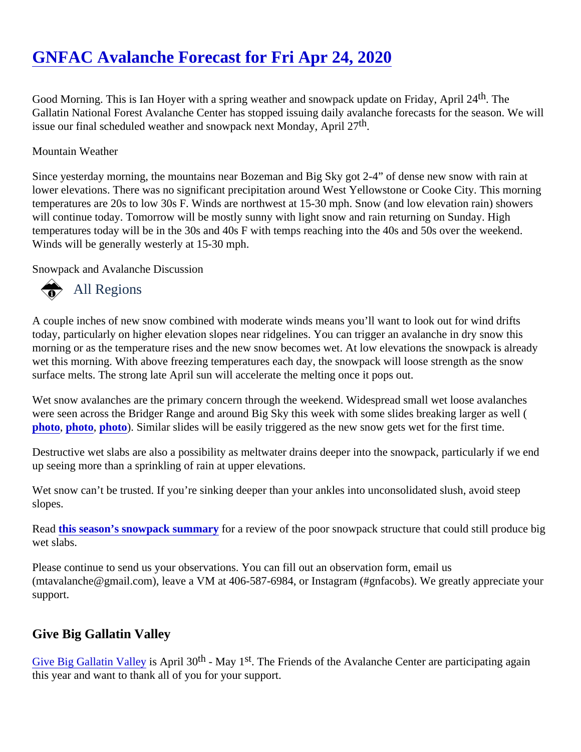Good Morning. This is Ian Hoyer with a spring weather and snowpack update on Friday, April 24 Gallatin National Forest Avalanche Center has stopped issuing daily avalanche forecasts for the season. We issue our final scheduled weather and snowpack next Monday, Abril 27

### Mountain Weather

Since yesterday morning, the mountains near Bozeman and Big Sky got 2-4" of dense new snow with rain at lower elevations. There was no significant precipitation around West Yellowstone or Cooke City. This morning temperatures are 20s to low 30s F. Winds are northwest at 15-30 mph. Snow (and low elevation rain) shower will continue today. Tomorrow will be mostly sunny with light snow and rain returning on Sunday. High temperatures today will be in the 30s and 40s F with temps reaching into the 40s and 50s over the weekend. Winds will be generally westerly at 15-30 mph.

Snowpack and Avalanche Discussion

# All Regions

A couple inches of new snow combined with moderate winds means you'll want to look out for wind drifts today, particularly on higher elevation slopes near ridgelines. You can trigger an avalanche in dry snow this morning or as the temperature rises and the new snow becomes wet. At low elevations the snowpack is alrea wet this morning. With above freezing temperatures each day, the snowpack will loose strength as the snow surface melts. The strong late April sun will accelerate the melting once it pops out.

Wet snow avalanches are the primary concern through the weekend. Widespread small wet loose avalanches were seen across the Bridger Range and around Big Sky this week with some slides breaking larger as well ( [photo](https://www.mtavalanche.com/images/20/wet-loose-frazier), [photo,](https://www.mtavalanche.com/images/20/wet-snow-bear-basin) [photo](https://www.mtavalanche.com/images/20/wet-slide-bridger)). Similar slides will be easily triggered as the new snow gets wet for the first time.

Destructive wet slabs are also a possibility as meltwater drains deeper into the snowpack, particularly if we er up seeing more than a sprinkling of rain at upper elevations.

Wet snow can't be trusted. If you're sinking deeper than your ankles into unconsolidated slush, avoid steep slopes.

Readthis season's snowpack summarfor a review of the poor snowpack structure that could still produce big wet slabs.

Please continue to send us your observations. You can fill out an observation form, email us (mtavalanche@gmail.com), leave a VM at 406-587-6984, or Instagram (#gnfacobs). We greatly appreciate you support.

## Give Big Gallatin Valley

[Give Big Gallatin Valley](https://www.givebiggv.org/organizations/friends-of-the-gallatin-national-forest-avalanche-center) is April 30<sup>th</sup> - May 1<sup>st</sup>. The Friends of the Avalanche Center are participating again this year and want to thank all of you for your support.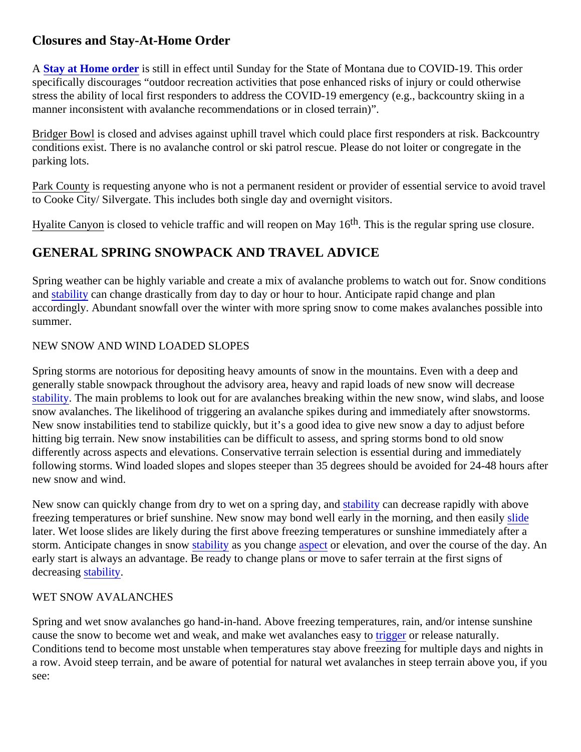## Closures and Stay-At-Home Order

A [Stay at Home order](https://covid19.mt.gov/Portals/223/Documents/Stay at Home Directive.pdf?ver=2020-03-26-173332-177) is still in effect until Sunday for the State of Montana due to COVID-19. This order specifically discourages "outdoor recreation activities that pose enhanced risks of injury or could otherwise stress the ability of local first responders to address the COVID-19 emergency (e.g., backcountry skiing in a manner inconsistent with avalanche recommendations or in closed terrain)".

Bridger Bowlis closed and advises against uphill travel which could place first responders at risk. Backcountry conditions exist. There is no avalanche control or ski patrol rescue. Please do not loiter or congregate in the parking lots.

Park County is requesting anyone who is not a permanent resident or provider of essential service to avoid tra to Cooke City/ Silvergate. This includes both single day and overnight visitors.

Hyalite Canyon is closed to vehicle traffic and will reopen on May<sup>th</sup> This is the regular spring use closure.

## GENERAL SPRING SNOWPACK AND TRAVEL ADVICE

Spring weather can be highly variable and create a mix of avalanche problems to watch out for. Snow conditions an[d stability](https://www.mtavalanche.com/taxonomy/term/309) can change drastically from day to day or hour to hour. Anticipate rapid change and plan accordingly. Abundant snowfall over the winter with more spring snow to come makes avalanches possible in summer.

### NEW SNOW AND WIND LOADED SLOPES

Spring storms are notorious for depositing heavy amounts of snow in the mountains. Even with a deep and generally stable snowpack throughout the advisory area, heavy and rapid loads of new snow will decrease [stability.](https://www.mtavalanche.com/taxonomy/term/309) The main problems to look out for are avalanches breaking within the new snow, wind slabs, and loo snow avalanches. The likelihood of triggering an avalanche spikes during and immediately after snowstorms. New snow instabilities tend to stabilize quickly, but it's a good idea to give new snow a day to adjust before hitting big terrain. New snow instabilities can be difficult to assess, and spring storms bond to old snow differently across aspects and elevations. Conservative terrain selection is essential during and immediately following storms. Wind loaded slopes and slopes steeper than 35 degrees should be avoided for 24-48 hours new snow and wind.

New snow can quickly change from dry to wet on a spring day stability can decrease rapidly with above freezing temperatures or brief sunshine. New snow may bond well early in the morning, and then the [slide](https://www.mtavalanche.com/taxonomy/term/305) later. Wet loose slides are likely during the first above freezing temperatures or sunshine immediately after a storm. Anticipate changes in snow ability as you change spector elevation, and over the course of the day. An early start is always an advantage. Be ready to change plans or move to safer terrain at the first signs of decreasing tability.

### WET SNOW AVALANCHES

see:

Spring and wet snow avalanches go hand-in-hand. Above freezing temperatures, rain, and/or intense sunshir cause the snow to become wet and weak, and make wet avalanches reasy to release naturally. Conditions tend to become most unstable when temperatures stay above freezing for multiple days and night a row. Avoid steep terrain, and be aware of potential for natural wet avalanches in steep terrain above you, if